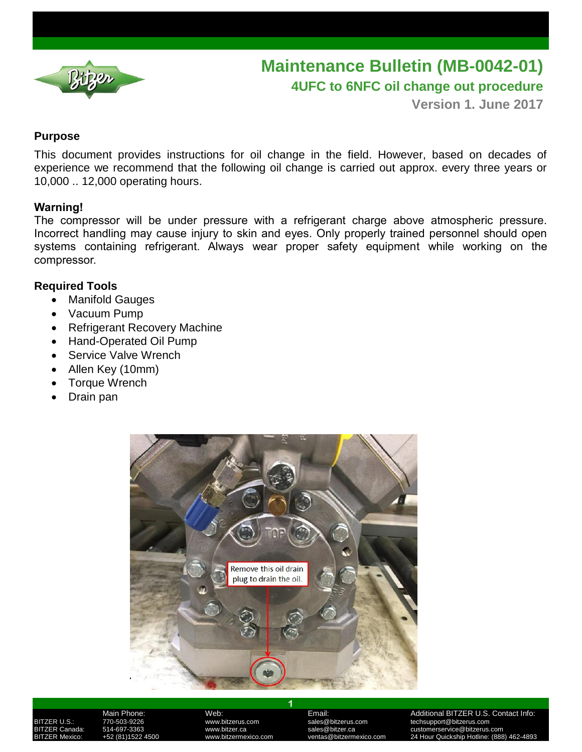

# **Maintenance Bulletin (MB-0042-01) 4UFC to 6NFC oil change out procedure**

**Version 1. June 2017**

### **Purpose**

This document provides instructions for oil change in the field. However, based on decades of experience we recommend that the following oil change is carried out approx. every three years or 10,000 .. 12,000 operating hours.

### **Warning!**

The compressor will be under pressure with a refrigerant charge above atmospheric pressure. Incorrect handling may cause injury to skin and eyes. Only properly trained personnel should open systems containing refrigerant. Always wear proper safety equipment while working on the compressor.

## **Required Tools**

- Manifold Gauges
- Vacuum Pump
- Refrigerant Recovery Machine
- Hand-Operated Oil Pump
- Service Valve Wrench
- Allen Key (10mm)
- Torque Wrench
- Drain pan



Main Phone: Web: Email: Additional BITZER U.S. Contact Info: BITZER U.S.: 770-503-9226 www.bitzerus.com sales@bitzerus.com techsupport@bitzerus.com BITZER Canada: 514-697-3363 www.bitzer.ca sales@bitzer.ca customerservice@bitzerus.com 24 Hour Quickship Hotline: (888) 462-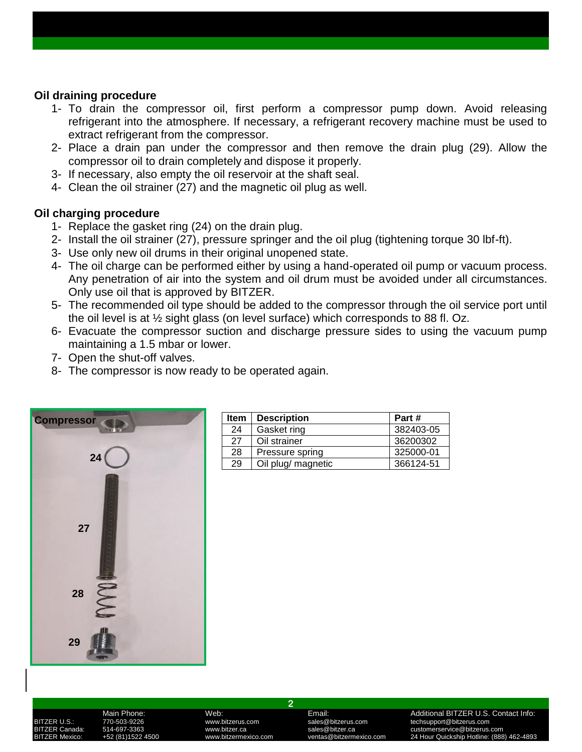### **Oil draining procedure**

- 1- To drain the compressor oil, first perform a compressor pump down. Avoid releasing refrigerant into the atmosphere. If necessary, a refrigerant recovery machine must be used to extract refrigerant from the compressor.
- 2- Place a drain pan under the compressor and then remove the drain plug (29). Allow the compressor oil to drain completely and dispose it properly.
- 3- If necessary, also empty the oil reservoir at the shaft seal.
- 4- Clean the oil strainer (27) and the magnetic oil plug as well.

### **Oil charging procedure**

- 1- Replace the gasket ring (24) on the drain plug.
- 2- Install the oil strainer (27), pressure springer and the oil plug (tightening torque 30 lbf-ft).
- 3- Use only new oil drums in their original unopened state.
- 4- The oil charge can be performed either by using a hand-operated oil pump or vacuum process. Any penetration of air into the system and oil drum must be avoided under all circumstances. Only use oil that is approved by BITZER.
- 5- The recommended oil type should be added to the compressor through the oil service port until the oil level is at ½ sight glass (on level surface) which corresponds to 88 fl. Oz.
- 6- Evacuate the compressor suction and discharge pressure sides to using the vacuum pump maintaining a 1.5 mbar or lower.
- 7- Open the shut-off valves.
- 8- The compressor is now ready to be operated again.



|    | <b>Item</b> | <b>Description</b> | Part #    |
|----|-------------|--------------------|-----------|
|    | 24          | Gasket ring        | 382403-05 |
|    | 27          | Oil strainer       | 36200302  |
| 24 | 28          | Pressure spring    | 325000-01 |
|    | 29          | Oil plug/ magnetic | 366124-51 |

**2**

Main Phone: Web: Email: Additional BITZER U.S. Contact Info: BITZER U.S.: 770-503-9226 www.bitzerus.com sales@bitzerus.com techsupport@bitzerus.com BITZER Canada: 514-697-3363 www.bitzer.ca sales@bitzer.ca customerservice@bitzerus.com 24 Hour Quickship Hotline: (888) 462-489